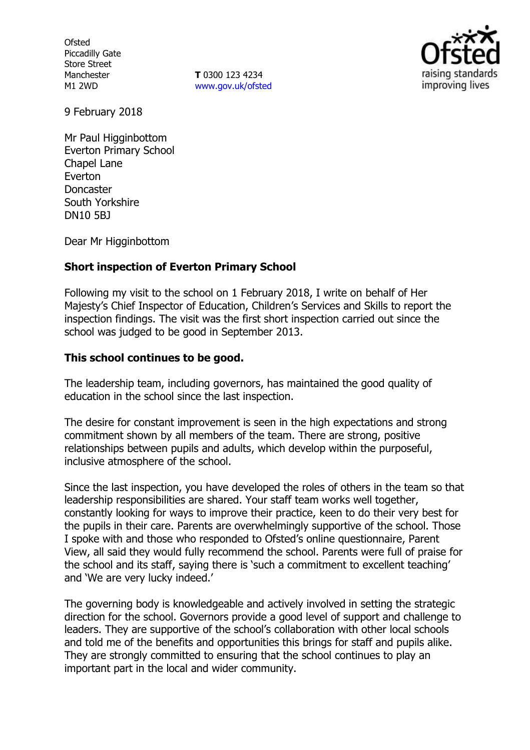**Ofsted** Piccadilly Gate Store Street Manchester M1 2WD

**T** 0300 123 4234 www.gov.uk/ofsted



9 February 2018

Mr Paul Higginbottom Everton Primary School Chapel Lane Everton Doncaster South Yorkshire DN10 5BJ

Dear Mr Higginbottom

### **Short inspection of Everton Primary School**

Following my visit to the school on 1 February 2018, I write on behalf of Her Majesty's Chief Inspector of Education, Children's Services and Skills to report the inspection findings. The visit was the first short inspection carried out since the school was judged to be good in September 2013.

#### **This school continues to be good.**

The leadership team, including governors, has maintained the good quality of education in the school since the last inspection.

The desire for constant improvement is seen in the high expectations and strong commitment shown by all members of the team. There are strong, positive relationships between pupils and adults, which develop within the purposeful, inclusive atmosphere of the school.

Since the last inspection, you have developed the roles of others in the team so that leadership responsibilities are shared. Your staff team works well together, constantly looking for ways to improve their practice, keen to do their very best for the pupils in their care. Parents are overwhelmingly supportive of the school. Those I spoke with and those who responded to Ofsted's online questionnaire, Parent View, all said they would fully recommend the school. Parents were full of praise for the school and its staff, saying there is 'such a commitment to excellent teaching' and 'We are very lucky indeed.'

The governing body is knowledgeable and actively involved in setting the strategic direction for the school. Governors provide a good level of support and challenge to leaders. They are supportive of the school's collaboration with other local schools and told me of the benefits and opportunities this brings for staff and pupils alike. They are strongly committed to ensuring that the school continues to play an important part in the local and wider community.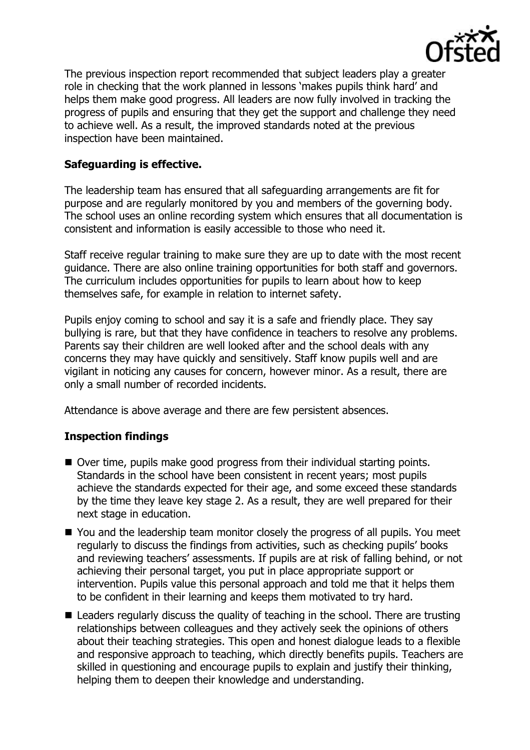

The previous inspection report recommended that subject leaders play a greater role in checking that the work planned in lessons 'makes pupils think hard' and helps them make good progress. All leaders are now fully involved in tracking the progress of pupils and ensuring that they get the support and challenge they need to achieve well. As a result, the improved standards noted at the previous inspection have been maintained.

# **Safeguarding is effective.**

The leadership team has ensured that all safeguarding arrangements are fit for purpose and are regularly monitored by you and members of the governing body. The school uses an online recording system which ensures that all documentation is consistent and information is easily accessible to those who need it.

Staff receive regular training to make sure they are up to date with the most recent guidance. There are also online training opportunities for both staff and governors. The curriculum includes opportunities for pupils to learn about how to keep themselves safe, for example in relation to internet safety.

Pupils enjoy coming to school and say it is a safe and friendly place. They say bullying is rare, but that they have confidence in teachers to resolve any problems. Parents say their children are well looked after and the school deals with any concerns they may have quickly and sensitively. Staff know pupils well and are vigilant in noticing any causes for concern, however minor. As a result, there are only a small number of recorded incidents.

Attendance is above average and there are few persistent absences.

### **Inspection findings**

- Over time, pupils make good progress from their individual starting points. Standards in the school have been consistent in recent years; most pupils achieve the standards expected for their age, and some exceed these standards by the time they leave key stage 2. As a result, they are well prepared for their next stage in education.
- You and the leadership team monitor closely the progress of all pupils. You meet regularly to discuss the findings from activities, such as checking pupils' books and reviewing teachers' assessments. If pupils are at risk of falling behind, or not achieving their personal target, you put in place appropriate support or intervention. Pupils value this personal approach and told me that it helps them to be confident in their learning and keeps them motivated to try hard.
- Leaders regularly discuss the quality of teaching in the school. There are trusting relationships between colleagues and they actively seek the opinions of others about their teaching strategies. This open and honest dialogue leads to a flexible and responsive approach to teaching, which directly benefits pupils. Teachers are skilled in questioning and encourage pupils to explain and justify their thinking, helping them to deepen their knowledge and understanding.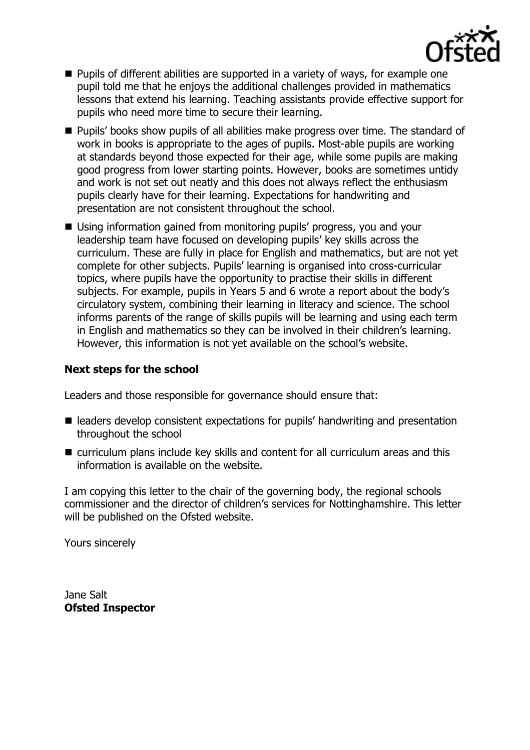

- **Pupils of different abilities are supported in a variety of ways, for example one** pupil told me that he enjoys the additional challenges provided in mathematics lessons that extend his learning. Teaching assistants provide effective support for pupils who need more time to secure their learning.
- **Pupils' books show pupils of all abilities make progress over time. The standard of** work in books is appropriate to the ages of pupils. Most-able pupils are working at standards beyond those expected for their age, while some pupils are making good progress from lower starting points. However, books are sometimes untidy and work is not set out neatly and this does not always reflect the enthusiasm pupils clearly have for their learning. Expectations for handwriting and presentation are not consistent throughout the school.
- Using information gained from monitoring pupils' progress, you and your leadership team have focused on developing pupils' key skills across the curriculum. These are fully in place for English and mathematics, but are not yet complete for other subjects. Pupils' learning is organised into cross-curricular topics, where pupils have the opportunity to practise their skills in different subjects. For example, pupils in Years 5 and 6 wrote a report about the body's circulatory system, combining their learning in literacy and science. The school informs parents of the range of skills pupils will be learning and using each term in English and mathematics so they can be involved in their children's learning. However, this information is not yet available on the school's website.

## **Next steps for the school**

Leaders and those responsible for governance should ensure that:

- leaders develop consistent expectations for pupils' handwriting and presentation throughout the school
- curriculum plans include key skills and content for all curriculum areas and this information is available on the website.

I am copying this letter to the chair of the governing body, the regional schools commissioner and the director of children's services for Nottinghamshire. This letter will be published on the Ofsted website.

Yours sincerely

Jane Salt **Ofsted Inspector**